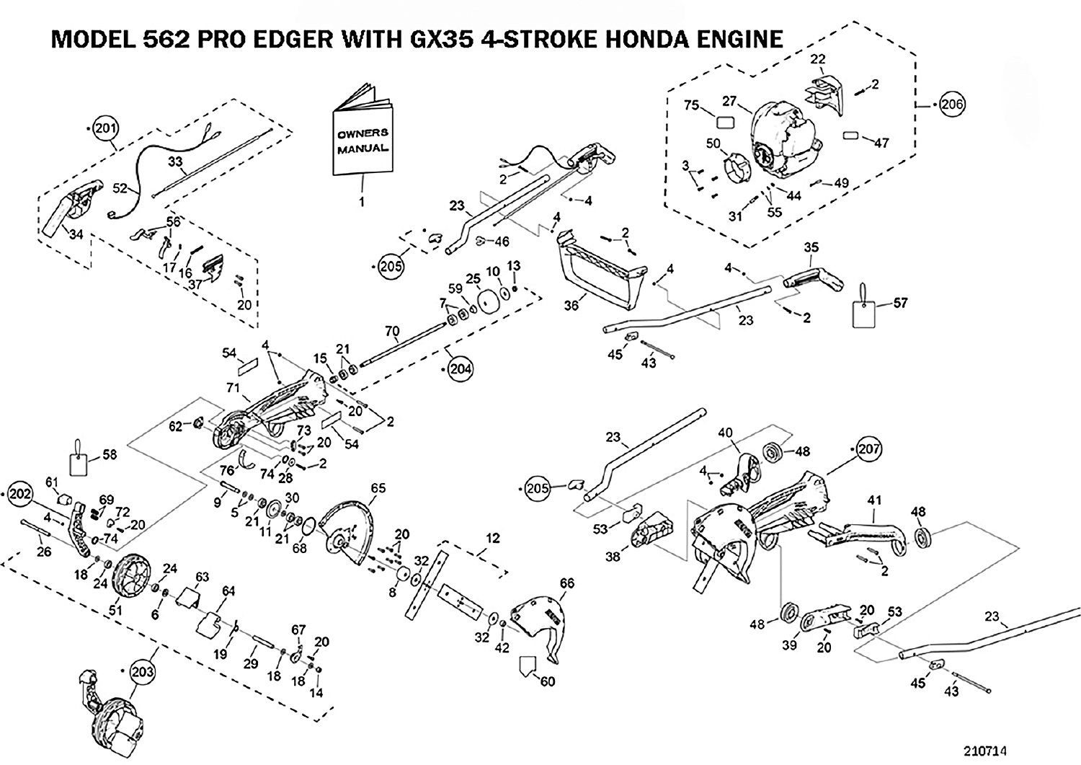